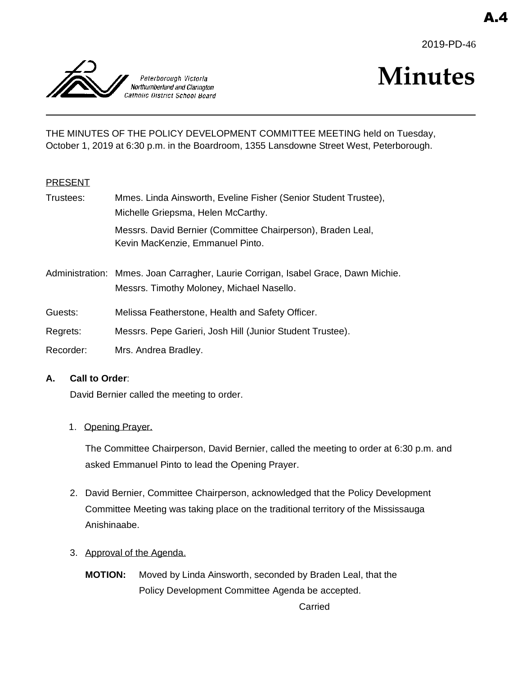2019-PD-46



# **Minutes**

THE MINUTES OF THE POLICY DEVELOPMENT COMMITTEE MEETING held on Tuesday, October 1, 2019 at 6:30 p.m. in the Boardroom, 1355 Lansdowne Street West, Peterborough.

### **PRESENT**

| Trustees: | Mmes. Linda Ainsworth, Eveline Fisher (Senior Student Trustee),                                                                |
|-----------|--------------------------------------------------------------------------------------------------------------------------------|
|           | Michelle Griepsma, Helen McCarthy.                                                                                             |
|           | Messrs. David Bernier (Committee Chairperson), Braden Leal,<br>Kevin MacKenzie, Emmanuel Pinto.                                |
|           | Administration: Mmes. Joan Carragher, Laurie Corrigan, Isabel Grace, Dawn Michie.<br>Messrs. Timothy Moloney, Michael Nasello. |
| Guests:   | Melissa Featherstone, Health and Safety Officer.                                                                               |

- 
- Regrets: Messrs. Pepe Garieri, Josh Hill (Junior Student Trustee).
- Recorder: Mrs. Andrea Bradley.

### **A. Call to Order**:

David Bernier called the meeting to order.

1. Opening Prayer.

The Committee Chairperson, David Bernier, called the meeting to order at 6:30 p.m. and asked Emmanuel Pinto to lead the Opening Prayer.

- 2. David Bernier, Committee Chairperson, acknowledged that the Policy Development Committee Meeting was taking place on the traditional territory of the Mississauga Anishinaabe.
- 3. Approval of the Agenda.
	- **MOTION:** Moved by Linda Ainsworth, seconded by Braden Leal, that the Policy Development Committee Agenda be accepted.

Carried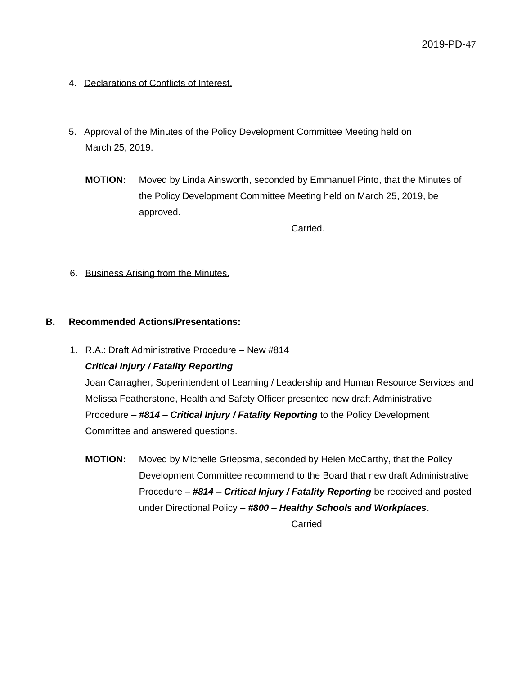- 4. Declarations of Conflicts of Interest.
- 5. Approval of the Minutes of the Policy Development Committee Meeting held on March 25, 2019.
	- **MOTION:** Moved by Linda Ainsworth, seconded by Emmanuel Pinto, that the Minutes of the Policy Development Committee Meeting held on March 25, 2019, be approved.

Carried.

6. Business Arising from the Minutes.

#### **B. Recommended Actions/Presentations:**

1. R.A.: Draft Administrative Procedure – New #814 *Critical Injury / Fatality Reporting*

Joan Carragher, Superintendent of Learning / Leadership and Human Resource Services and Melissa Featherstone, Health and Safety Officer presented new draft Administrative Procedure – *#814 – Critical Injury / Fatality Reporting* to the Policy Development Committee and answered questions.

**MOTION:** Moved by Michelle Griepsma, seconded by Helen McCarthy, that the Policy Development Committee recommend to the Board that new draft Administrative Procedure – *#814 – Critical Injury / Fatality Reporting* be received and posted under Directional Policy – *#800 – Healthy Schools and Workplaces*.

Carried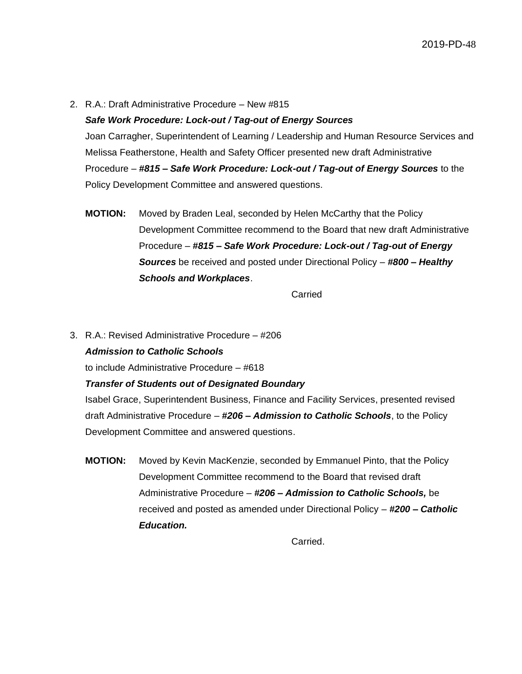2. R.A.: Draft Administrative Procedure – New #815

#### *Safe Work Procedure: Lock-out / Tag-out of Energy Sources*

Joan Carragher, Superintendent of Learning / Leadership and Human Resource Services and Melissa Featherstone, Health and Safety Officer presented new draft Administrative Procedure – *#815 – Safe Work Procedure: Lock-out / Tag-out of Energy Sources* to the Policy Development Committee and answered questions.

**MOTION:** Moved by Braden Leal, seconded by Helen McCarthy that the Policy Development Committee recommend to the Board that new draft Administrative Procedure – *#815 – Safe Work Procedure: Lock-out / Tag-out of Energy Sources* be received and posted under Directional Policy – *#800 – Healthy Schools and Workplaces*.

Carried

3. R.A.: Revised Administrative Procedure – #206 *Admission to Catholic Schools*

to include Administrative Procedure – #618

### *Transfer of Students out of Designated Boundary*

Isabel Grace, Superintendent Business, Finance and Facility Services, presented revised draft Administrative Procedure – *#206 – Admission to Catholic Schools*, to the Policy Development Committee and answered questions.

**MOTION:** Moved by Kevin MacKenzie, seconded by Emmanuel Pinto, that the Policy Development Committee recommend to the Board that revised draft Administrative Procedure – *#206 – Admission to Catholic Schools,* be received and posted as amended under Directional Policy – *#200 – Catholic Education.*

Carried.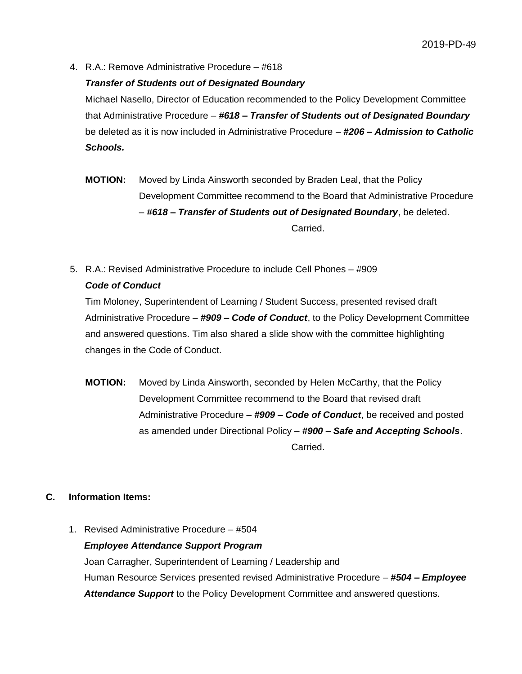4. R.A.: Remove Administrative Procedure – #618

#### *Transfer of Students out of Designated Boundary*

Michael Nasello, Director of Education recommended to the Policy Development Committee that Administrative Procedure – *#618 – Transfer of Students out of Designated Boundary* be deleted as it is now included in Administrative Procedure – *#206 – Admission to Catholic Schools.*

- **MOTION:** Moved by Linda Ainsworth seconded by Braden Leal, that the Policy Development Committee recommend to the Board that Administrative Procedure – *#618 – Transfer of Students out of Designated Boundary*, be deleted. Carried.
- 5. R.A.: Revised Administrative Procedure to include Cell Phones #909 *Code of Conduct*

Tim Moloney, Superintendent of Learning / Student Success, presented revised draft Administrative Procedure – *#909 – Code of Conduct*, to the Policy Development Committee and answered questions. Tim also shared a slide show with the committee highlighting changes in the Code of Conduct.

**MOTION:** Moved by Linda Ainsworth, seconded by Helen McCarthy, that the Policy Development Committee recommend to the Board that revised draft Administrative Procedure – *#909 – Code of Conduct*, be received and posted as amended under Directional Policy – *#900 – Safe and Accepting Schools*. Carried.

### **C. Information Items:**

1. Revised Administrative Procedure – #504 *Employee Attendance Support Program* Joan Carragher, Superintendent of Learning / Leadership and Human Resource Services presented revised Administrative Procedure – *#504 – Employee Attendance Support* to the Policy Development Committee and answered questions.